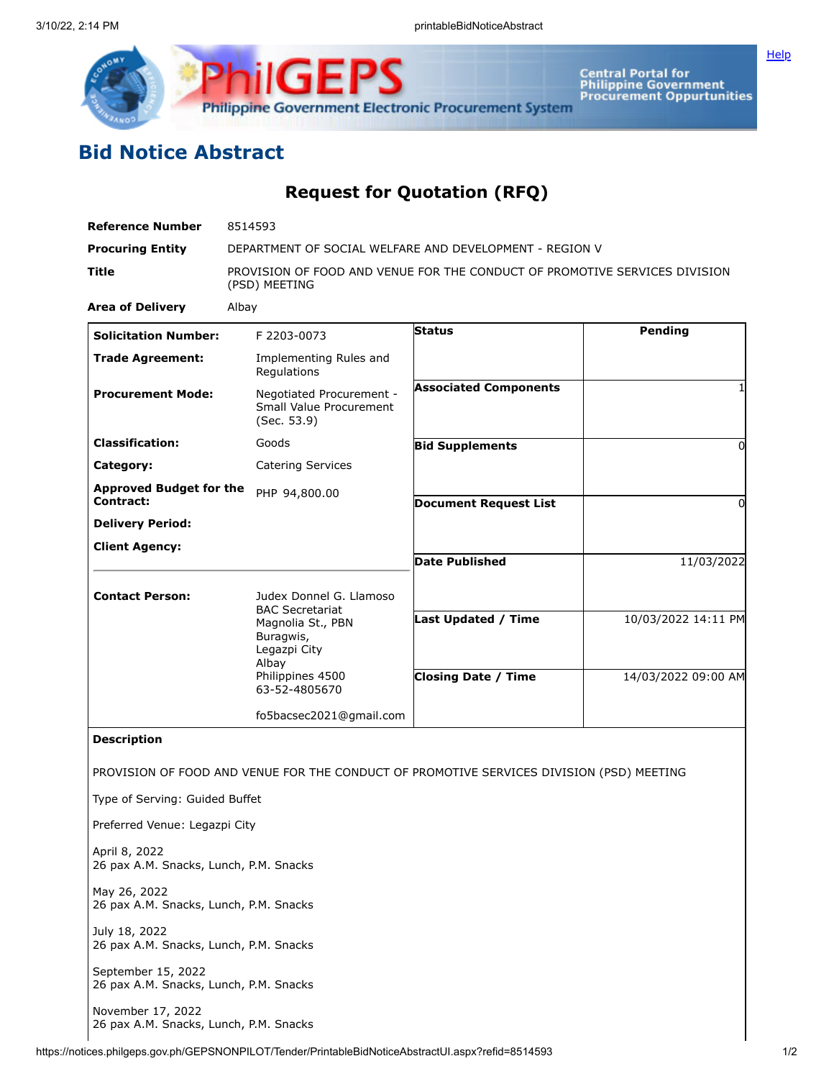

## **Bid Notice Abstract**

## **Request for Quotation (RFQ)**

| <b>Reference Number</b>                                      | 8514593                                                                                     |                              |                     |
|--------------------------------------------------------------|---------------------------------------------------------------------------------------------|------------------------------|---------------------|
| <b>Procuring Entity</b>                                      | DEPARTMENT OF SOCIAL WELFARE AND DEVELOPMENT - REGION V                                     |                              |                     |
| Title                                                        | PROVISION OF FOOD AND VENUE FOR THE CONDUCT OF PROMOTIVE SERVICES DIVISION<br>(PSD) MEETING |                              |                     |
| <b>Area of Delivery</b>                                      | Albay                                                                                       |                              |                     |
| <b>Solicitation Number:</b>                                  | F 2203-0073                                                                                 | <b>Status</b>                | Pending             |
| <b>Trade Agreement:</b>                                      | Implementing Rules and<br>Regulations                                                       |                              |                     |
| <b>Procurement Mode:</b>                                     | Negotiated Procurement -<br>Small Value Procurement<br>(Sec. 53.9)                          | <b>Associated Components</b> |                     |
| <b>Classification:</b>                                       | Goods                                                                                       | <b>Bid Supplements</b>       | 0                   |
| Category:                                                    | <b>Catering Services</b>                                                                    |                              |                     |
| <b>Approved Budget for the</b><br><b>Contract:</b>           | PHP 94,800.00                                                                               |                              |                     |
| <b>Delivery Period:</b>                                      |                                                                                             | <b>Document Request List</b> | 0                   |
| <b>Client Agency:</b>                                        |                                                                                             |                              |                     |
|                                                              |                                                                                             | <b>Date Published</b>        | 11/03/2022          |
|                                                              |                                                                                             |                              |                     |
| <b>Contact Person:</b>                                       | Judex Donnel G. Llamoso<br><b>BAC Secretariat</b>                                           |                              |                     |
|                                                              | Magnolia St., PBN<br>Buragwis,                                                              | Last Updated / Time          | 10/03/2022 14:11 PM |
|                                                              | Legazpi City<br>Albay                                                                       |                              |                     |
|                                                              | Philippines 4500<br>63-52-4805670                                                           | <b>Closing Date / Time</b>   | 14/03/2022 09:00 AM |
|                                                              | fo5bacsec2021@gmail.com                                                                     |                              |                     |
| <b>Description</b>                                           |                                                                                             |                              |                     |
|                                                              | PROVISION OF FOOD AND VENUE FOR THE CONDUCT OF PROMOTIVE SERVICES DIVISION (PSD) MEETING    |                              |                     |
| Type of Serving: Guided Buffet                               |                                                                                             |                              |                     |
| Preferred Venue: Legazpi City                                |                                                                                             |                              |                     |
| April 8, 2022<br>26 pax A.M. Snacks, Lunch, P.M. Snacks      |                                                                                             |                              |                     |
| May 26, 2022<br>26 pax A.M. Snacks, Lunch, P.M. Snacks       |                                                                                             |                              |                     |
| July 18, 2022<br>26 pax A.M. Snacks, Lunch, P.M. Snacks      |                                                                                             |                              |                     |
| September 15, 2022<br>26 pax A.M. Snacks, Lunch, P.M. Snacks |                                                                                             |                              |                     |
| November 17, 2022<br>26 pax A.M. Snacks, Lunch, P.M. Snacks  |                                                                                             |                              |                     |